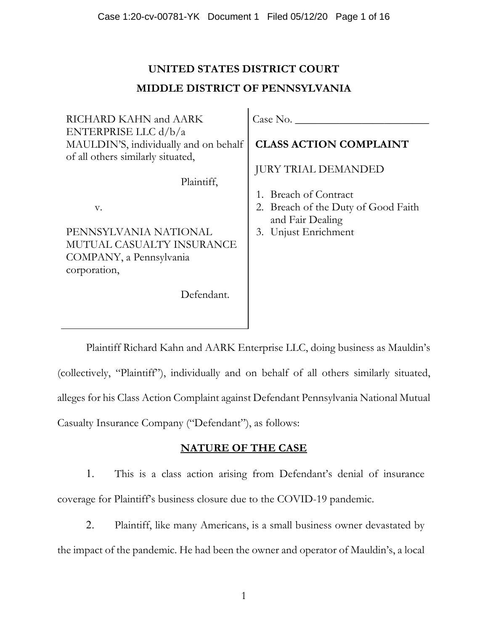# **UNITED STATES DISTRICT COURT MIDDLE DISTRICT OF PENNSYLVANIA**

| RICHARD KAHN and AARK                 | Case No.                            |
|---------------------------------------|-------------------------------------|
| ENTERPRISE LLC $d/b/a$                |                                     |
| MAULDIN'S, individually and on behalf | <b>CLASS ACTION COMPLAINT</b>       |
| of all others similarly situated,     |                                     |
|                                       | <b>JURY TRIAL DEMANDED</b>          |
| Plaintiff,                            |                                     |
|                                       | 1. Breach of Contract               |
| V.                                    | 2. Breach of the Duty of Good Faith |
|                                       | and Fair Dealing                    |
| PENNSYLVANIA NATIONAL                 | 3. Unjust Enrichment                |
| MUTUAL CASUALTY INSURANCE             |                                     |
| COMPANY, a Pennsylvania               |                                     |
| corporation,                          |                                     |
|                                       |                                     |
| Defendant.                            |                                     |
|                                       |                                     |

Plaintiff Richard Kahn and AARK Enterprise LLC, doing business as Mauldin's (collectively, "Plaintiff"), individually and on behalf of all others similarly situated, alleges for his Class Action Complaint against Defendant Pennsylvania National Mutual Casualty Insurance Company ("Defendant"), as follows:

# **NATURE OF THE CASE**

1. This is a class action arising from Defendant's denial of insurance coverage for Plaintiff's business closure due to the COVID-19 pandemic.

2. Plaintiff, like many Americans, is a small business owner devastated by the impact of the pandemic. He had been the owner and operator of Mauldin's, a local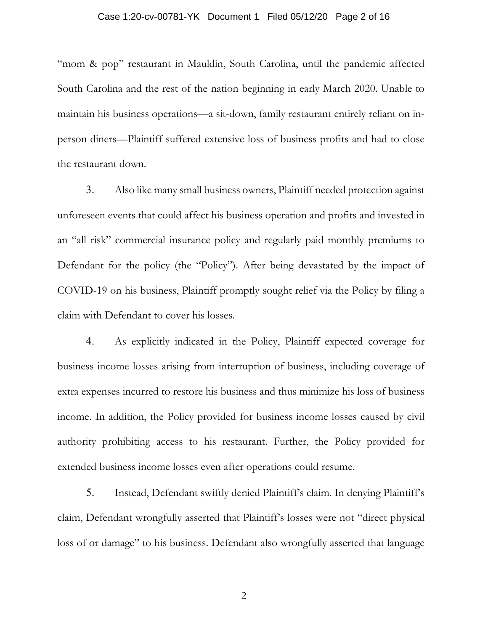#### Case 1:20-cv-00781-YK Document 1 Filed 05/12/20 Page 2 of 16

"mom & pop" restaurant in Mauldin, South Carolina, until the pandemic affected South Carolina and the rest of the nation beginning in early March 2020. Unable to maintain his business operations—a sit-down, family restaurant entirely reliant on inperson diners—Plaintiff suffered extensive loss of business profits and had to close the restaurant down.

3. Also like many small business owners, Plaintiff needed protection against unforeseen events that could affect his business operation and profits and invested in an "all risk" commercial insurance policy and regularly paid monthly premiums to Defendant for the policy (the "Policy"). After being devastated by the impact of COVID-19 on his business, Plaintiff promptly sought relief via the Policy by filing a claim with Defendant to cover his losses.

4. As explicitly indicated in the Policy, Plaintiff expected coverage for business income losses arising from interruption of business, including coverage of extra expenses incurred to restore his business and thus minimize his loss of business income. In addition, the Policy provided for business income losses caused by civil authority prohibiting access to his restaurant. Further, the Policy provided for extended business income losses even after operations could resume.

5. Instead, Defendant swiftly denied Plaintiff's claim. In denying Plaintiff's claim, Defendant wrongfully asserted that Plaintiff's losses were not "direct physical loss of or damage" to his business. Defendant also wrongfully asserted that language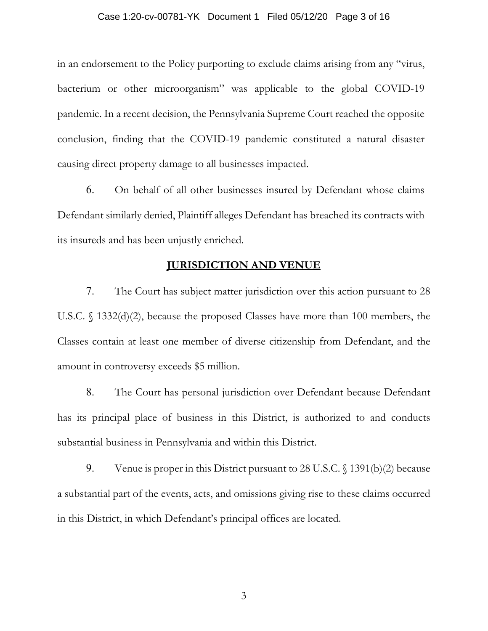#### Case 1:20-cv-00781-YK Document 1 Filed 05/12/20 Page 3 of 16

in an endorsement to the Policy purporting to exclude claims arising from any "virus, bacterium or other microorganism" was applicable to the global COVID-19 pandemic. In a recent decision, the Pennsylvania Supreme Court reached the opposite conclusion, finding that the COVID-19 pandemic constituted a natural disaster causing direct property damage to all businesses impacted.

6. On behalf of all other businesses insured by Defendant whose claims Defendant similarly denied, Plaintiff alleges Defendant has breached its contracts with its insureds and has been unjustly enriched.

# **JURISDICTION AND VENUE**

7. The Court has subject matter jurisdiction over this action pursuant to 28 U.S.C. § 1332(d)(2), because the proposed Classes have more than 100 members, the Classes contain at least one member of diverse citizenship from Defendant, and the amount in controversy exceeds \$5 million.

8. The Court has personal jurisdiction over Defendant because Defendant has its principal place of business in this District, is authorized to and conducts substantial business in Pennsylvania and within this District.

9. Venue is proper in this District pursuant to 28 U.S.C. § 1391(b)(2) because a substantial part of the events, acts, and omissions giving rise to these claims occurred in this District, in which Defendant's principal offices are located.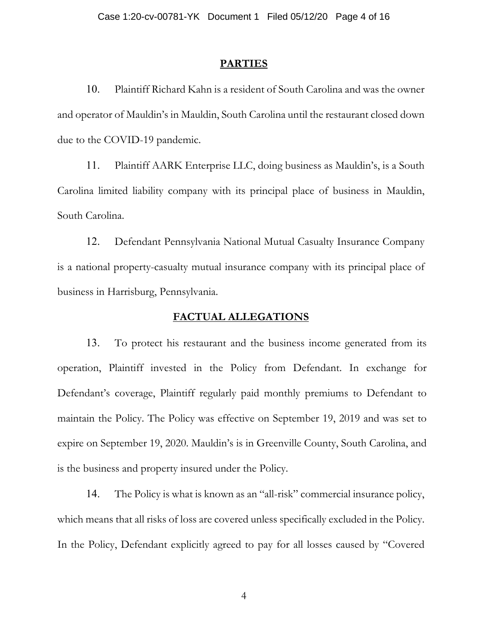#### **PARTIES**

10. Plaintiff Richard Kahn is a resident of South Carolina and was the owner and operator of Mauldin's in Mauldin, South Carolina until the restaurant closed down due to the COVID-19 pandemic.

11. Plaintiff AARK Enterprise LLC, doing business as Mauldin's, is a South Carolina limited liability company with its principal place of business in Mauldin, South Carolina.

12. Defendant Pennsylvania National Mutual Casualty Insurance Company is a national property-casualty mutual insurance company with its principal place of business in Harrisburg, Pennsylvania.

#### **FACTUAL ALLEGATIONS**

13. To protect his restaurant and the business income generated from its operation, Plaintiff invested in the Policy from Defendant. In exchange for Defendant's coverage, Plaintiff regularly paid monthly premiums to Defendant to maintain the Policy. The Policy was effective on September 19, 2019 and was set to expire on September 19, 2020. Mauldin's is in Greenville County, South Carolina, and is the business and property insured under the Policy.

14. The Policy is what is known as an "all-risk" commercial insurance policy, which means that all risks of loss are covered unless specifically excluded in the Policy. In the Policy, Defendant explicitly agreed to pay for all losses caused by "Covered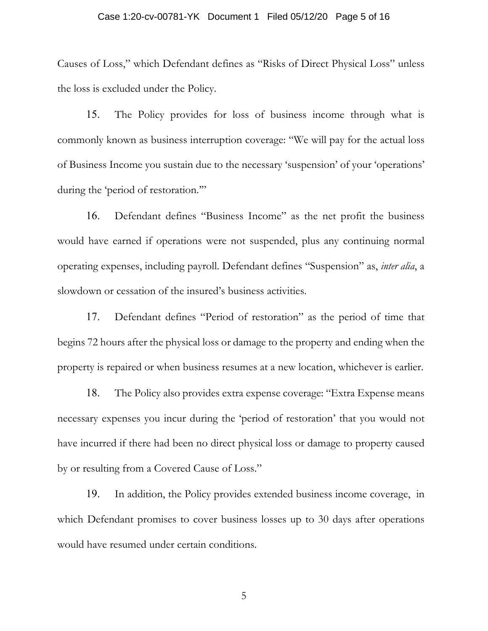#### Case 1:20-cv-00781-YK Document 1 Filed 05/12/20 Page 5 of 16

Causes of Loss," which Defendant defines as "Risks of Direct Physical Loss" unless the loss is excluded under the Policy.

15. The Policy provides for loss of business income through what is commonly known as business interruption coverage: "We will pay for the actual loss of Business Income you sustain due to the necessary 'suspension' of your 'operations' during the 'period of restoration."

16. Defendant defines "Business Income" as the net profit the business would have earned if operations were not suspended, plus any continuing normal operating expenses, including payroll. Defendant defines "Suspension" as, *inter alia*, a slowdown or cessation of the insured's business activities.

17. Defendant defines "Period of restoration" as the period of time that begins 72 hours after the physical loss or damage to the property and ending when the property is repaired or when business resumes at a new location, whichever is earlier.

18. The Policy also provides extra expense coverage: "Extra Expense means necessary expenses you incur during the 'period of restoration' that you would not have incurred if there had been no direct physical loss or damage to property caused by or resulting from a Covered Cause of Loss."

19. In addition, the Policy provides extended business income coverage, in which Defendant promises to cover business losses up to 30 days after operations would have resumed under certain conditions.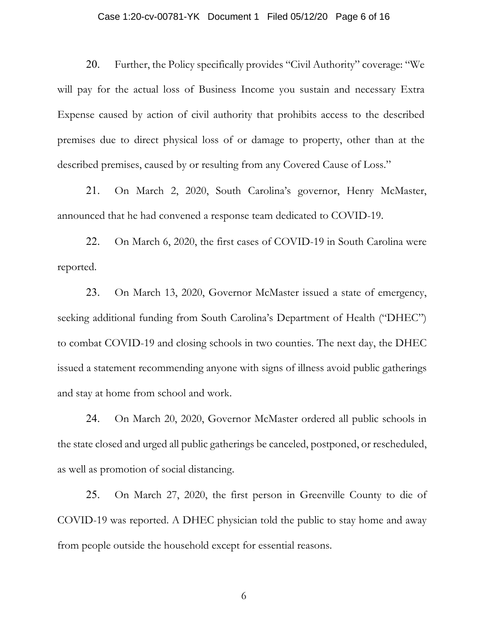#### Case 1:20-cv-00781-YK Document 1 Filed 05/12/20 Page 6 of 16

20. Further, the Policy specifically provides "Civil Authority" coverage: "We will pay for the actual loss of Business Income you sustain and necessary Extra Expense caused by action of civil authority that prohibits access to the described premises due to direct physical loss of or damage to property, other than at the described premises, caused by or resulting from any Covered Cause of Loss."

21. On March 2, 2020, South Carolina's governor, Henry McMaster, announced that he had convened a response team dedicated to COVID-19.

22. On March 6, 2020, the first cases of COVID-19 in South Carolina were reported.

23. On March 13, 2020, Governor McMaster issued a state of emergency, seeking additional funding from South Carolina's Department of Health ("DHEC") to combat COVID-19 and closing schools in two counties. The next day, the DHEC issued a statement recommending anyone with signs of illness avoid public gatherings and stay at home from school and work.

24. On March 20, 2020, Governor McMaster ordered all public schools in the state closed and urged all public gatherings be canceled, postponed, or rescheduled, as well as promotion of social distancing.

25. On March 27, 2020, the first person in Greenville County to die of COVID-19 was reported. A DHEC physician told the public to stay home and away from people outside the household except for essential reasons.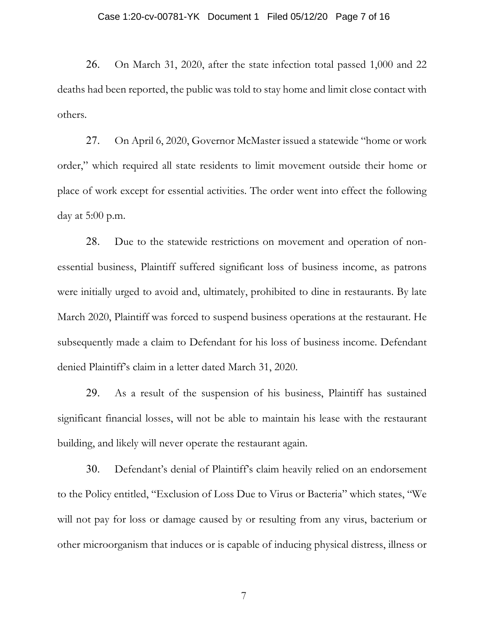#### Case 1:20-cv-00781-YK Document 1 Filed 05/12/20 Page 7 of 16

26. On March 31, 2020, after the state infection total passed 1,000 and 22 deaths had been reported, the public was told to stay home and limit close contact with others.

27. On April 6, 2020, Governor McMaster issued a statewide "home or work order," which required all state residents to limit movement outside their home or place of work except for essential activities. The order went into effect the following day at 5:00 p.m.

28. Due to the statewide restrictions on movement and operation of nonessential business, Plaintiff suffered significant loss of business income, as patrons were initially urged to avoid and, ultimately, prohibited to dine in restaurants. By late March 2020, Plaintiff was forced to suspend business operations at the restaurant. He subsequently made a claim to Defendant for his loss of business income. Defendant denied Plaintiff's claim in a letter dated March 31, 2020.

29. As a result of the suspension of his business, Plaintiff has sustained significant financial losses, will not be able to maintain his lease with the restaurant building, and likely will never operate the restaurant again.

30. Defendant's denial of Plaintiff's claim heavily relied on an endorsement to the Policy entitled, "Exclusion of Loss Due to Virus or Bacteria" which states, "We will not pay for loss or damage caused by or resulting from any virus, bacterium or other microorganism that induces or is capable of inducing physical distress, illness or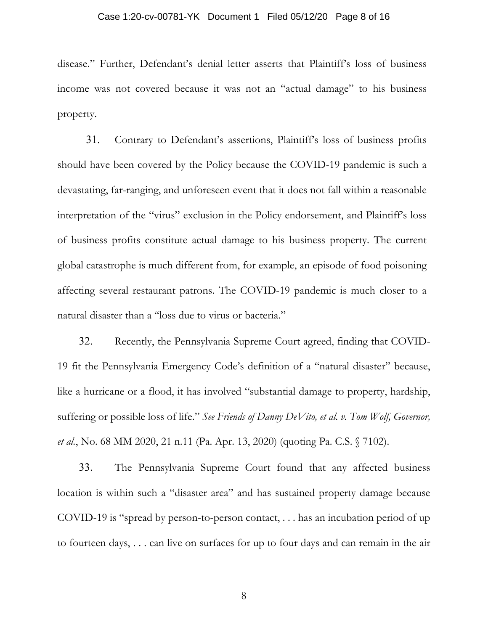#### Case 1:20-cv-00781-YK Document 1 Filed 05/12/20 Page 8 of 16

disease." Further, Defendant's denial letter asserts that Plaintiff's loss of business income was not covered because it was not an "actual damage" to his business property.

31. Contrary to Defendant's assertions, Plaintiff's loss of business profits should have been covered by the Policy because the COVID-19 pandemic is such a devastating, far-ranging, and unforeseen event that it does not fall within a reasonable interpretation of the "virus" exclusion in the Policy endorsement, and Plaintiff's loss of business profits constitute actual damage to his business property. The current global catastrophe is much different from, for example, an episode of food poisoning affecting several restaurant patrons. The COVID-19 pandemic is much closer to a natural disaster than a "loss due to virus or bacteria."

32. Recently, the Pennsylvania Supreme Court agreed, finding that COVID-19 fit the Pennsylvania Emergency Code's definition of a "natural disaster" because, like a hurricane or a flood, it has involved "substantial damage to property, hardship, suffering or possible loss of life." *See Friends of Danny DeVito, et al. v. Tom Wolf, Governor, et al.*, No. 68 MM 2020, 21 n.11 (Pa. Apr. 13, 2020) (quoting Pa. C.S. § 7102).

33. The Pennsylvania Supreme Court found that any affected business location is within such a "disaster area" and has sustained property damage because COVID-19 is "spread by person-to-person contact, . . . has an incubation period of up to fourteen days, . . . can live on surfaces for up to four days and can remain in the air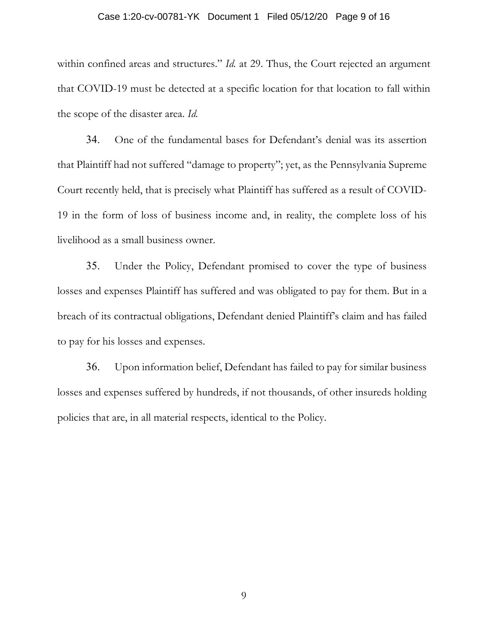#### Case 1:20-cv-00781-YK Document 1 Filed 05/12/20 Page 9 of 16

within confined areas and structures." *Id.* at 29. Thus, the Court rejected an argument that COVID-19 must be detected at a specific location for that location to fall within the scope of the disaster area. *Id.*

34. One of the fundamental bases for Defendant's denial was its assertion that Plaintiff had not suffered "damage to property"; yet, as the Pennsylvania Supreme Court recently held, that is precisely what Plaintiff has suffered as a result of COVID-19 in the form of loss of business income and, in reality, the complete loss of his livelihood as a small business owner.

35. Under the Policy, Defendant promised to cover the type of business losses and expenses Plaintiff has suffered and was obligated to pay for them. But in a breach of its contractual obligations, Defendant denied Plaintiff's claim and has failed to pay for his losses and expenses.

36. Upon information belief, Defendant has failed to pay for similar business losses and expenses suffered by hundreds, if not thousands, of other insureds holding policies that are, in all material respects, identical to the Policy.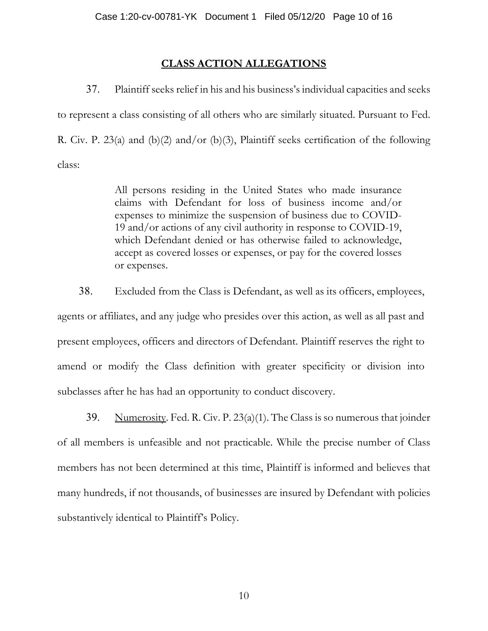# **CLASS ACTION ALLEGATIONS**

37. Plaintiff seeks relief in his and his business's individual capacities and seeks to represent a class consisting of all others who are similarly situated. Pursuant to Fed. R. Civ. P. 23(a) and (b)(2) and/or (b)(3), Plaintiff seeks certification of the following class:

> All persons residing in the United States who made insurance claims with Defendant for loss of business income and/or expenses to minimize the suspension of business due to COVID-19 and/or actions of any civil authority in response to COVID-19, which Defendant denied or has otherwise failed to acknowledge, accept as covered losses or expenses, or pay for the covered losses or expenses.

38. Excluded from the Class is Defendant, as well as its officers, employees, agents or affiliates, and any judge who presides over this action, as well as all past and present employees, officers and directors of Defendant. Plaintiff reserves the right to amend or modify the Class definition with greater specificity or division into subclasses after he has had an opportunity to conduct discovery.

39. Numerosity. Fed. R. Civ. P.  $23(a)(1)$ . The Class is so numerous that joinder of all members is unfeasible and not practicable. While the precise number of Class members has not been determined at this time, Plaintiff is informed and believes that many hundreds, if not thousands, of businesses are insured by Defendant with policies substantively identical to Plaintiff's Policy.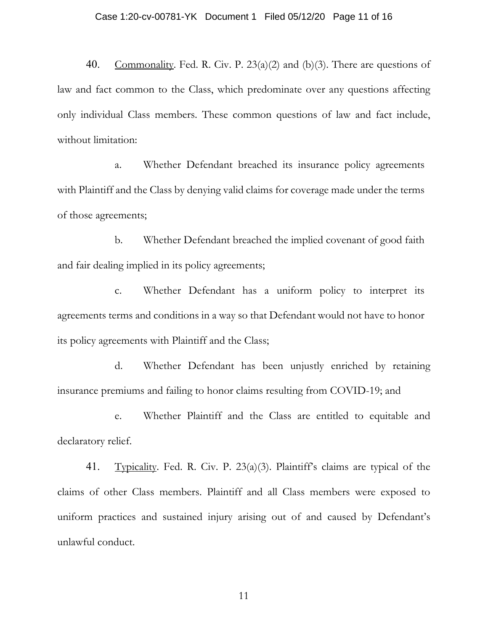#### Case 1:20-cv-00781-YK Document 1 Filed 05/12/20 Page 11 of 16

40. Commonality. Fed. R. Civ. P.  $23(a)(2)$  and (b)(3). There are questions of law and fact common to the Class, which predominate over any questions affecting only individual Class members. These common questions of law and fact include, without limitation:

a. Whether Defendant breached its insurance policy agreements with Plaintiff and the Class by denying valid claims for coverage made under the terms of those agreements;

b. Whether Defendant breached the implied covenant of good faith and fair dealing implied in its policy agreements;

c. Whether Defendant has a uniform policy to interpret its agreements terms and conditions in a way so that Defendant would not have to honor its policy agreements with Plaintiff and the Class;

d. Whether Defendant has been unjustly enriched by retaining insurance premiums and failing to honor claims resulting from COVID-19; and

e. Whether Plaintiff and the Class are entitled to equitable and declaratory relief.

41. Typicality. Fed. R. Civ. P. 23(a)(3). Plaintiff's claims are typical of the claims of other Class members. Plaintiff and all Class members were exposed to uniform practices and sustained injury arising out of and caused by Defendant's unlawful conduct.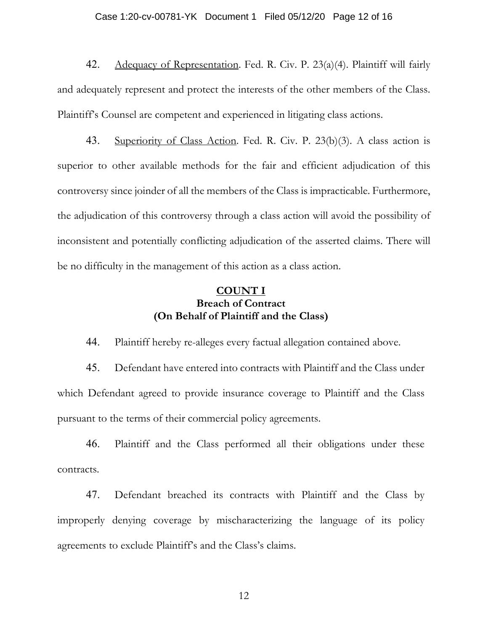#### Case 1:20-cv-00781-YK Document 1 Filed 05/12/20 Page 12 of 16

42. Adequacy of Representation. Fed. R. Civ. P. 23(a)(4). Plaintiff will fairly and adequately represent and protect the interests of the other members of the Class. Plaintiff's Counsel are competent and experienced in litigating class actions.

43. Superiority of Class Action. Fed. R. Civ. P. 23(b)(3). A class action is superior to other available methods for the fair and efficient adjudication of this controversy since joinder of all the members of the Class is impracticable. Furthermore, the adjudication of this controversy through a class action will avoid the possibility of inconsistent and potentially conflicting adjudication of the asserted claims. There will be no difficulty in the management of this action as a class action.

# **COUNT I Breach of Contract (On Behalf of Plaintiff and the Class)**

44. Plaintiff hereby re-alleges every factual allegation contained above.

45. Defendant have entered into contracts with Plaintiff and the Class under which Defendant agreed to provide insurance coverage to Plaintiff and the Class pursuant to the terms of their commercial policy agreements.

46. Plaintiff and the Class performed all their obligations under these contracts.

47. Defendant breached its contracts with Plaintiff and the Class by improperly denying coverage by mischaracterizing the language of its policy agreements to exclude Plaintiff's and the Class's claims.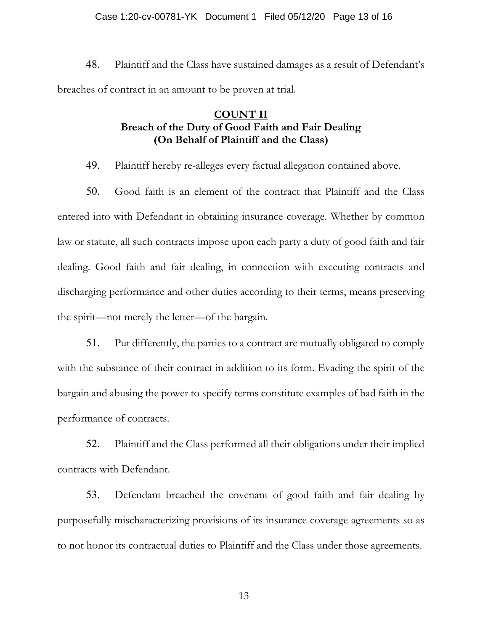#### Case 1:20-cv-00781-YK Document 1 Filed 05/12/20 Page 13 of 16

48. Plaintiff and the Class have sustained damages as a result of Defendant's breaches of contract in an amount to be proven at trial.

# **COUNT II Breach of the Duty of Good Faith and Fair Dealing (On Behalf of Plaintiff and the Class)**

49. Plaintiff hereby re-alleges every factual allegation contained above.

50. Good faith is an element of the contract that Plaintiff and the Class entered into with Defendant in obtaining insurance coverage. Whether by common law or statute, all such contracts impose upon each party a duty of good faith and fair dealing. Good faith and fair dealing, in connection with executing contracts and discharging performance and other duties according to their terms, means preserving the spirit—not merely the letter—of the bargain.

51. Put differently, the parties to a contract are mutually obligated to comply with the substance of their contract in addition to its form. Evading the spirit of the bargain and abusing the power to specify terms constitute examples of bad faith in the performance of contracts.

52. Plaintiff and the Class performed all their obligations under their implied contracts with Defendant.

53. Defendant breached the covenant of good faith and fair dealing by purposefully mischaracterizing provisions of its insurance coverage agreements so as to not honor its contractual duties to Plaintiff and the Class under those agreements.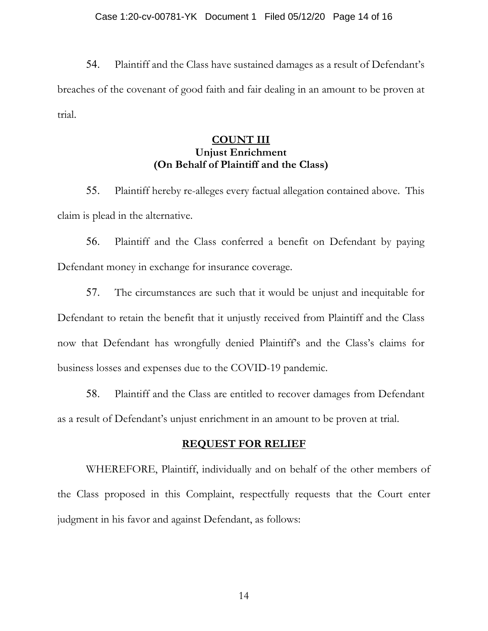#### Case 1:20-cv-00781-YK Document 1 Filed 05/12/20 Page 14 of 16

54. Plaintiff and the Class have sustained damages as a result of Defendant's breaches of the covenant of good faith and fair dealing in an amount to be proven at trial.

# **COUNT III Unjust Enrichment (On Behalf of Plaintiff and the Class)**

55. Plaintiff hereby re-alleges every factual allegation contained above. This claim is plead in the alternative.

56. Plaintiff and the Class conferred a benefit on Defendant by paying Defendant money in exchange for insurance coverage.

57. The circumstances are such that it would be unjust and inequitable for Defendant to retain the benefit that it unjustly received from Plaintiff and the Class now that Defendant has wrongfully denied Plaintiff's and the Class's claims for business losses and expenses due to the COVID-19 pandemic.

58. Plaintiff and the Class are entitled to recover damages from Defendant as a result of Defendant's unjust enrichment in an amount to be proven at trial.

#### **REQUEST FOR RELIEF**

WHEREFORE, Plaintiff, individually and on behalf of the other members of the Class proposed in this Complaint, respectfully requests that the Court enter judgment in his favor and against Defendant, as follows: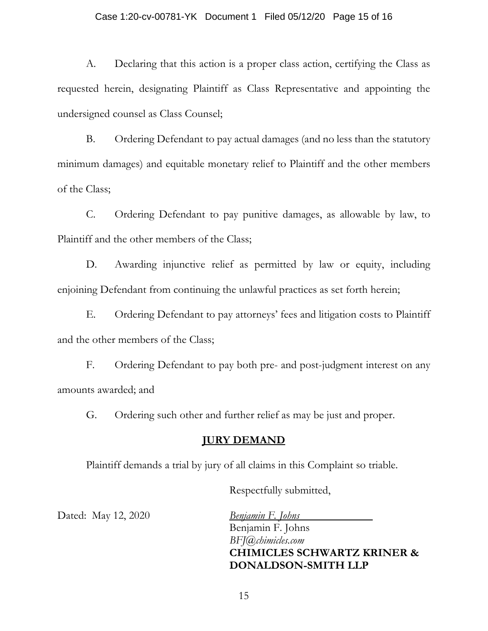#### Case 1:20-cv-00781-YK Document 1 Filed 05/12/20 Page 15 of 16

A. Declaring that this action is a proper class action, certifying the Class as requested herein, designating Plaintiff as Class Representative and appointing the undersigned counsel as Class Counsel;

B. Ordering Defendant to pay actual damages (and no less than the statutory minimum damages) and equitable monetary relief to Plaintiff and the other members of the Class;

C. Ordering Defendant to pay punitive damages, as allowable by law, to Plaintiff and the other members of the Class;

D. Awarding injunctive relief as permitted by law or equity, including enjoining Defendant from continuing the unlawful practices as set forth herein;

E. Ordering Defendant to pay attorneys' fees and litigation costs to Plaintiff and the other members of the Class;

F. Ordering Defendant to pay both pre- and post-judgment interest on any amounts awarded; and

G. Ordering such other and further relief as may be just and proper.

#### **JURY DEMAND**

Plaintiff demands a trial by jury of all claims in this Complaint so triable.

Respectfully submitted,

Dated: May 12, 2020 *Benjamin F. Johns* 

Benjamin F. Johns *BFJ@chimicles.com* **CHIMICLES SCHWARTZ KRINER & DONALDSON-SMITH LLP**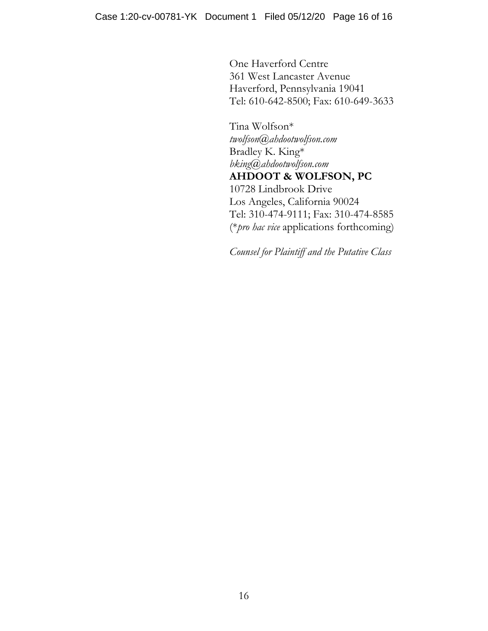One Haverford Centre 361 West Lancaster Avenue Haverford, Pennsylvania 19041 Tel: 610-642-8500; Fax: 610-649-3633

Tina Wolfson\* *twolfson@ahdootwolfson.com*  Bradley K. King\* *bking@ahdootwolfson.com*  **AHDOOT & WOLFSON, PC** 10728 Lindbrook Drive Los Angeles, California 90024 Tel: 310-474-9111; Fax: 310-474-8585 (\**pro hac vice* applications forthcoming)

*Counsel for Plaintiff and the Putative Class*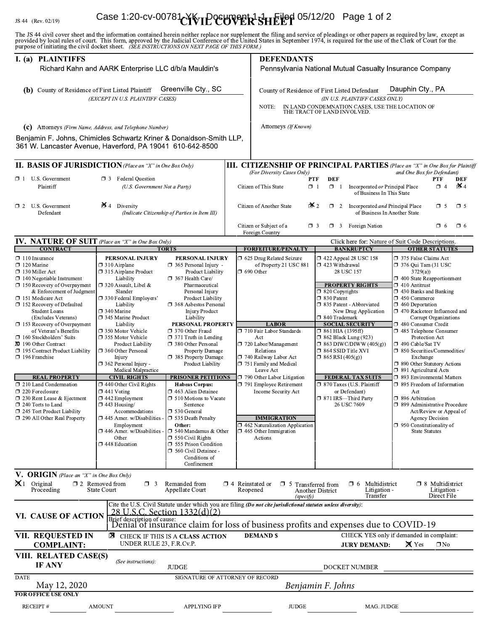#### **JS 44** (Rev. 02)

#### $2719)$ Case 1:20-cv-00781-YK pocument 1-1 Filed 05/12/20 Page 1 of 2

| I. (a) PLAINTIFFS<br>Richard Kahn and AARK Enterprise LLC d/b/a Mauldin's<br>Greenville Cty., SC<br>(b) County of Residence of First Listed Plaintiff<br>(EXCEPT IN U.S. PLAINTIFF CASES)                                                                                                                                                                                                                                                                                                  |                                                                                                                                                                                                                                                                                                                                                                                                                              |                                                                                                                                                                                                                                                                                                                                                                                                                                         | purpose of initiating the civil docket sheet. (SEE INSTRUCTIONS ON NEXT PAGE OF THIS FORM.)<br><b>DEFENDANTS</b><br>Pennsylvania National Mutual Casualty Insurance Company<br>Dauphin Cty., PA<br>County of Residence of First Listed Defendant<br>(IN U.S. PLAINTIFF CASES ONLY)<br>IN LAND CONDEMNATION CASES, USE THE LOCATION OF<br>NOTE:<br>THE TRACT OF LAND INVOLVED. |                                                                                                                                                                                                                                                             |                                                                                                                                                                                                                                                                                                                                                                                                                    |                                                                                                                                                                                                                                                                                                                                                                                                                                                                                                                         |
|--------------------------------------------------------------------------------------------------------------------------------------------------------------------------------------------------------------------------------------------------------------------------------------------------------------------------------------------------------------------------------------------------------------------------------------------------------------------------------------------|------------------------------------------------------------------------------------------------------------------------------------------------------------------------------------------------------------------------------------------------------------------------------------------------------------------------------------------------------------------------------------------------------------------------------|-----------------------------------------------------------------------------------------------------------------------------------------------------------------------------------------------------------------------------------------------------------------------------------------------------------------------------------------------------------------------------------------------------------------------------------------|-------------------------------------------------------------------------------------------------------------------------------------------------------------------------------------------------------------------------------------------------------------------------------------------------------------------------------------------------------------------------------|-------------------------------------------------------------------------------------------------------------------------------------------------------------------------------------------------------------------------------------------------------------|--------------------------------------------------------------------------------------------------------------------------------------------------------------------------------------------------------------------------------------------------------------------------------------------------------------------------------------------------------------------------------------------------------------------|-------------------------------------------------------------------------------------------------------------------------------------------------------------------------------------------------------------------------------------------------------------------------------------------------------------------------------------------------------------------------------------------------------------------------------------------------------------------------------------------------------------------------|
|                                                                                                                                                                                                                                                                                                                                                                                                                                                                                            |                                                                                                                                                                                                                                                                                                                                                                                                                              |                                                                                                                                                                                                                                                                                                                                                                                                                                         |                                                                                                                                                                                                                                                                                                                                                                               |                                                                                                                                                                                                                                                             |                                                                                                                                                                                                                                                                                                                                                                                                                    |                                                                                                                                                                                                                                                                                                                                                                                                                                                                                                                         |
| <b>II. BASIS OF JURISDICTION</b> (Place an "X" in One Box Only)<br>$\Box$ 1 U.S. Government<br>Plaintiff                                                                                                                                                                                                                                                                                                                                                                                   | <b>1</b> 3 Federal Question<br>(U.S. Government Not a Party)                                                                                                                                                                                                                                                                                                                                                                 |                                                                                                                                                                                                                                                                                                                                                                                                                                         |                                                                                                                                                                                                                                                                                                                                                                               | (For Diversity Cases Only)<br>Citizen of This State                                                                                                                                                                                                         | <b>DEF</b><br>PTF<br>Incorporated or Principal Place<br>$\Box$ 1<br>$\Box$ 1                                                                                                                                                                                                                                                                                                                                       | <b>III. CITIZENSHIP OF PRINCIPAL PARTIES</b> (Place an "X" in One Box for Plaintiff<br>and One Box for Defendant)<br><b>DEF</b><br><b>PTF</b><br>$\mathbf{\mathsf{X}}$ 4<br>$\Box$ 4                                                                                                                                                                                                                                                                                                                                    |
| $\Box$ 2 U.S. Government<br>Defendant                                                                                                                                                                                                                                                                                                                                                                                                                                                      | $\mathsf{X}$ 4<br>Diversity                                                                                                                                                                                                                                                                                                                                                                                                  | (Indicate Citizenship of Parties in Item III)                                                                                                                                                                                                                                                                                                                                                                                           |                                                                                                                                                                                                                                                                                                                                                                               | Citizen of Another State                                                                                                                                                                                                                                    | of Business In This State<br>$\mathbf{X}_2$<br>$\Box$ 2 Incorporated <i>and</i> Principal Place                                                                                                                                                                                                                                                                                                                    | $\Box$ 5<br>$\Box$ 5<br>of Business In Another State                                                                                                                                                                                                                                                                                                                                                                                                                                                                    |
|                                                                                                                                                                                                                                                                                                                                                                                                                                                                                            |                                                                                                                                                                                                                                                                                                                                                                                                                              |                                                                                                                                                                                                                                                                                                                                                                                                                                         |                                                                                                                                                                                                                                                                                                                                                                               | Citizen or Subject of a<br>Foreign Country                                                                                                                                                                                                                  | $\Box$ 3 Foreign Nation<br>$\Box$ 3                                                                                                                                                                                                                                                                                                                                                                                | □ 6<br>$\Box$ 6                                                                                                                                                                                                                                                                                                                                                                                                                                                                                                         |
| IV. NATURE OF SUIT (Place an "X" in One Box Only)<br><b>CONTRACT</b>                                                                                                                                                                                                                                                                                                                                                                                                                       |                                                                                                                                                                                                                                                                                                                                                                                                                              | <b>TORTS</b>                                                                                                                                                                                                                                                                                                                                                                                                                            |                                                                                                                                                                                                                                                                                                                                                                               | <b>FORFEITURE/PENALTY</b>                                                                                                                                                                                                                                   | <b>BANKRUPTCY</b>                                                                                                                                                                                                                                                                                                                                                                                                  | Click here for: Nature of Suit Code Descriptions.<br><b>OTHER STATUTES</b>                                                                                                                                                                                                                                                                                                                                                                                                                                              |
| $\Box$ 120 Marine<br>$\Box$ 130 Miller Act<br>$\Box$ 140 Negotiable Instrument<br>$\Box$ 150 Recovery of Overpayment<br>& Enforcement of Judgment<br>□ 151 Medicare Act<br>□ 152 Recovery of Defaulted<br><b>Student Loans</b><br>(Excludes Veterans)<br>$\Box$ 153 Recovery of Overpayment<br>of Veteran's Benefits<br>$\Box$ 160 Stockholders' Suits<br>XI 190 Other Contract<br>195 Contract Product Liability<br>$\Box$ 196 Franchise<br><b>REAL PROPERTY</b><br>210 Land Condemnation | $\Box$ 310 Airplane<br>□ 315 Airplane Product<br>Liability<br>$\Box$ 320 Assault, Libel &<br>Slander<br>□ 330 Federal Employers'<br>Liability<br>$\Box$ 340 Marine<br>345 Marine Product<br>Liability<br>$\Box$ 350 Motor Vehicle<br>□ 355 Motor Vehicle<br>Product Liability<br>360 Other Personal<br>Injury<br>$\Box$ 362 Personal Injury -<br>Medical Malpractice<br><b>CIVIL RIGHTS</b><br>$\Box$ 440 Other Civil Rights | $\Box$ 365 Personal Injury -<br>Product Liability<br>□ 367 Health Care/<br>Pharmaceutical<br>Personal Injury<br><b>Product Liability</b><br>$\square$ 368 Asbestos Personal<br><b>Injury Product</b><br>Liability<br>PERSONAL PROPERTY<br>□ 370 Other Fraud<br>$\Box$ 371 Truth in Lending<br>380 Other Personal<br>Property Damage<br>□ 385 Property Damage<br>Product Liability<br><b>PRISONER PETITIONS</b><br><b>Habeas Corpus:</b> |                                                                                                                                                                                                                                                                                                                                                                               | of Property 21 USC 881<br>$\Box$ 690 Other<br><b>LABOR</b><br>710 Fair Labor Standards<br>Act<br>720 Labor/Management<br>Relations<br>740 Railway Labor Act<br>751 Family and Medical<br>Leave Act<br>790 Other Labor Litigation<br>791 Employee Retirement | $\Box$ 423 Withdrawal<br>28 USC 157<br><b>PROPERTY RIGHTS</b><br>$\Box$ 820 Copyrights<br>□ 830 Patent<br>□ 835 Patent - Abbreviated<br>New Drug Application<br>□ 840 Trademark<br><b>SOCIAL SECURITY</b><br>$\Box$ 861 HIA (1395ff)<br>1 862 Black Lung (923)<br>$\Box$ 863 DIWC/DIWW (405(g))<br>$\Box$ 864 SSID Title XVI<br>$\Box$ 865 RSI (405(g))<br><b>FEDERAL TAX SUITS</b><br>□ 870 Taxes (U.S. Plaintiff | $\Box$ 376 Qui Tam (31 USC<br>3729(a)<br>$\Box$ 400 State Reapportionment<br>$\Box$ 410 Antitrust<br>$\Box$ 430 Banks and Banking<br>$\Box$ 450 Commerce<br>$\Box$ 460 Deportation<br>□ 470 Racketeer Influenced and<br><b>Corrupt Organizations</b><br>□ 480 Consumer Credit<br>485 Telephone Consumer<br>Protection Act<br>□ 490 Cable/Sat TV<br>□ 850 Securities/Commodities/<br>Exchange<br>□ 890 Other Statutory Actions<br>□ 891 Agricultural Acts<br>□ 893 Environmental Matters<br>□ 895 Freedom of Information |
| $\square$ 220 Foreclosure<br>□ 230 Rent Lease & Ejectment<br>□ 240 Torts to Land<br>$\Box$ 245 Tort Product Liability<br>□ 290 All Other Real Property                                                                                                                                                                                                                                                                                                                                     | $\Box$ 441 Voting<br>$\square$ 442 Employment<br>$\Box$ 443 Housing/<br>Accommodations<br>$\Box$ 445 Amer. w/Disabilities -<br>Employment<br>$\Box$ 446 Amer. w/Disabilities -<br>Other<br>$\square$ 448 Education                                                                                                                                                                                                           | □ 463 Alien Detainee<br>□ 510 Motions to Vacate<br>Sentence<br>□ 530 General<br>□ 535 Death Penalty<br>Other:<br>$\Box$ 540 Mandamus & Other<br>$\Box$ 550 Civil Rights<br>□ 555 Prison Condition<br>560 Civil Detainee -<br>Conditions of<br>Confinement                                                                                                                                                                               |                                                                                                                                                                                                                                                                                                                                                                               | Income Security Act<br><b>IMMIGRATION</b><br>$\Box$ 462 Naturalization Application<br>$\Box$ 465 Other Immigration<br>Actions                                                                                                                               | or Defendant)<br>□ 871 IRS-Third Party<br>26 USC 7609                                                                                                                                                                                                                                                                                                                                                              | Act<br>□ 896 Arbitration<br>□ 899 Administrative Procedure<br>Act/Review or Appeal of<br><b>Agency Decision</b><br>$\Box$ 950 Constitutionality of<br><b>State Statutes</b>                                                                                                                                                                                                                                                                                                                                             |
| V. ORIGIN (Place an "X" in One Box Only)<br>$\mathbf{X}$ 1 Original<br>Proceeding                                                                                                                                                                                                                                                                                                                                                                                                          | $\square$ 2 Removed from<br>$\Box$ 3<br><b>State Court</b>                                                                                                                                                                                                                                                                                                                                                                   | Remanded from<br>Appellate Court                                                                                                                                                                                                                                                                                                                                                                                                        | Reopened                                                                                                                                                                                                                                                                                                                                                                      | $\Box$ 4 Reinstated or $\Box$ 5 Transferred from<br>(specify)<br>Cite the U.S. Civil Statute under which you are filing (Do not cite jurisdictional statutes unless diversity):                                                                             | $\Box$ 6 Multidistrict<br>Litigation -<br>Another District<br>Transfer                                                                                                                                                                                                                                                                                                                                             | $\Box$ 8 Multidistrict<br>Litigation -<br>Direct File                                                                                                                                                                                                                                                                                                                                                                                                                                                                   |
| VI. CAUSE OF ACTION                                                                                                                                                                                                                                                                                                                                                                                                                                                                        | 28 U.S.C. Section 1332(d)(2)<br>Brief description of cause:                                                                                                                                                                                                                                                                                                                                                                  |                                                                                                                                                                                                                                                                                                                                                                                                                                         |                                                                                                                                                                                                                                                                                                                                                                               |                                                                                                                                                                                                                                                             | Denial of insurance claim for loss of business profits and expenses due to COVID-19                                                                                                                                                                                                                                                                                                                                |                                                                                                                                                                                                                                                                                                                                                                                                                                                                                                                         |
| <b>VII. REQUESTED IN</b><br><b>COMPLAINT:</b>                                                                                                                                                                                                                                                                                                                                                                                                                                              | UNDER RULE 23, F.R.Cv.P.                                                                                                                                                                                                                                                                                                                                                                                                     | <b>E</b> CHECK IF THIS IS A CLASS ACTION                                                                                                                                                                                                                                                                                                                                                                                                |                                                                                                                                                                                                                                                                                                                                                                               | <b>DEMAND \$</b>                                                                                                                                                                                                                                            | <b>JURY DEMAND:</b>                                                                                                                                                                                                                                                                                                                                                                                                | CHECK YES only if demanded in complaint:<br>$\times$ Yes<br>$\square$ No                                                                                                                                                                                                                                                                                                                                                                                                                                                |
| VIII. RELATED CASE(S)<br><b>IF ANY</b>                                                                                                                                                                                                                                                                                                                                                                                                                                                     | (See instructions):                                                                                                                                                                                                                                                                                                                                                                                                          | <b>JUDGE</b>                                                                                                                                                                                                                                                                                                                                                                                                                            |                                                                                                                                                                                                                                                                                                                                                                               |                                                                                                                                                                                                                                                             | DOCKET NUMBER                                                                                                                                                                                                                                                                                                                                                                                                      |                                                                                                                                                                                                                                                                                                                                                                                                                                                                                                                         |
| <b>DATE</b>                                                                                                                                                                                                                                                                                                                                                                                                                                                                                |                                                                                                                                                                                                                                                                                                                                                                                                                              | SIGNATURE OF ATTORNEY OF RECORD                                                                                                                                                                                                                                                                                                                                                                                                         |                                                                                                                                                                                                                                                                                                                                                                               |                                                                                                                                                                                                                                                             |                                                                                                                                                                                                                                                                                                                                                                                                                    |                                                                                                                                                                                                                                                                                                                                                                                                                                                                                                                         |
| May 12, 2020                                                                                                                                                                                                                                                                                                                                                                                                                                                                               |                                                                                                                                                                                                                                                                                                                                                                                                                              |                                                                                                                                                                                                                                                                                                                                                                                                                                         |                                                                                                                                                                                                                                                                                                                                                                               |                                                                                                                                                                                                                                                             | Benjamin F. Johns                                                                                                                                                                                                                                                                                                                                                                                                  |                                                                                                                                                                                                                                                                                                                                                                                                                                                                                                                         |